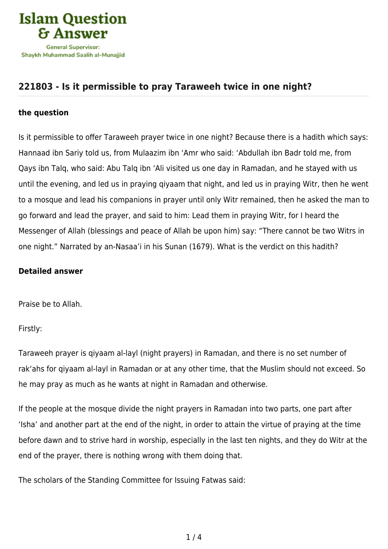

## **[221803 - Is it permissible to pray Taraweeh twice in one night?](https://islamqa.com/en/answers/221803/is-it-permissible-to-pray-taraweeh-twice-in-one-night)**

## **the question**

Is it permissible to offer Taraweeh prayer twice in one night? Because there is a hadith which says: Hannaad ibn Sariy told us, from Mulaazim ibn 'Amr who said: 'Abdullah ibn Badr told me, from Qays ibn Talq, who said: Abu Talq ibn 'Ali visited us one day in Ramadan, and he stayed with us until the evening, and led us in praying qiyaam that night, and led us in praying Witr, then he went to a mosque and lead his companions in prayer until only Witr remained, then he asked the man to go forward and lead the prayer, and said to him: Lead them in praying Witr, for I heard the Messenger of Allah (blessings and peace of Allah be upon him) say: "There cannot be two Witrs in one night." Narrated by an-Nasaa'i in his Sunan (1679). What is the verdict on this hadith?

## **Detailed answer**

Praise be to Allah.

Firstly:

Taraweeh prayer is qiyaam al-layl (night prayers) in Ramadan, and there is no set number of rak'ahs for qiyaam al-layl in Ramadan or at any other time, that the Muslim should not exceed. So he may pray as much as he wants at night in Ramadan and otherwise.

If the people at the mosque divide the night prayers in Ramadan into two parts, one part after 'Isha' and another part at the end of the night, in order to attain the virtue of praying at the time before dawn and to strive hard in worship, especially in the last ten nights, and they do Witr at the end of the prayer, there is nothing wrong with them doing that.

The scholars of the Standing Committee for Issuing Fatwas said: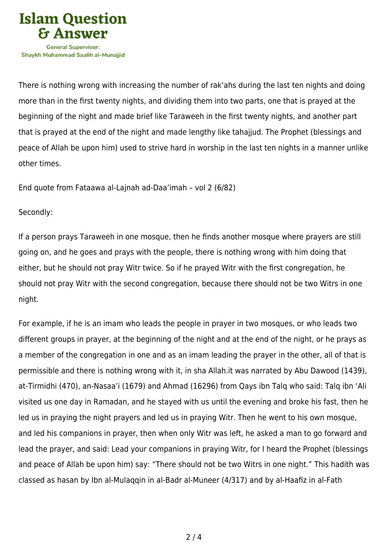

There is nothing wrong with increasing the number of rak'ahs during the last ten nights and doing more than in the first twenty nights, and dividing them into two parts, one that is prayed at the beginning of the night and made brief like Taraweeh in the first twenty nights, and another part that is prayed at the end of the night and made lengthy like tahajjud. The Prophet (blessings and peace of Allah be upon him) used to strive hard in worship in the last ten nights in a manner unlike other times.

End quote from Fataawa al-Lajnah ad-Daa'imah – vol 2 (6/82)

## Secondly:

If a person prays Taraweeh in one mosque, then he finds another mosque where prayers are still going on, and he goes and prays with the people, there is nothing wrong with him doing that either, but he should not pray Witr twice. So if he prayed Witr with the first congregation, he should not pray Witr with the second congregation, because there should not be two Witrs in one night.

For example, if he is an imam who leads the people in prayer in two mosques, or who leads two different groups in prayer, at the beginning of the night and at the end of the night, or he prays as a member of the congregation in one and as an imam leading the prayer in the other, all of that is permissible and there is nothing wrong with it, in sha Allah.it was narrated by Abu Dawood (1439), at-Tirmidhi (470), an-Nasaa'i (1679) and Ahmad (16296) from Qays ibn Talq who said: Talq ibn 'Ali visited us one day in Ramadan, and he stayed with us until the evening and broke his fast, then he led us in praying the night prayers and led us in praying Witr. Then he went to his own mosque, and led his companions in prayer, then when only Witr was left, he asked a man to go forward and lead the prayer, and said: Lead your companions in praying Witr, for I heard the Prophet (blessings and peace of Allah be upon him) say: "There should not be two Witrs in one night." This hadith was classed as hasan by Ibn al-Mulaqqin in al-Badr al-Muneer (4/317) and by al-Haafiz in al-Fath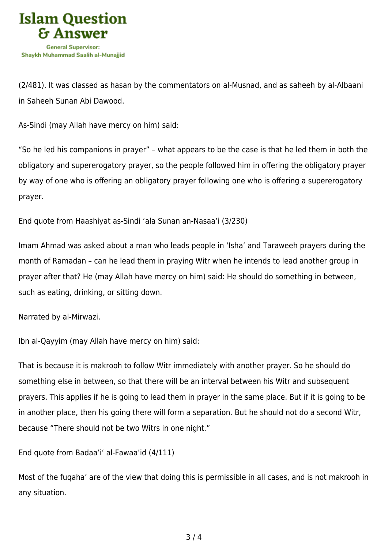

(2/481). It was classed as hasan by the commentators on al-Musnad, and as saheeh by al-Albaani in Saheeh Sunan Abi Dawood.

As-Sindi (may Allah have mercy on him) said:

"So he led his companions in prayer" – what appears to be the case is that he led them in both the obligatory and supererogatory prayer, so the people followed him in offering the obligatory prayer by way of one who is offering an obligatory prayer following one who is offering a supererogatory prayer.

End quote from Haashiyat as-Sindi 'ala Sunan an-Nasaa'i (3/230)

Imam Ahmad was asked about a man who leads people in 'Isha' and Taraweeh prayers during the month of Ramadan – can he lead them in praying Witr when he intends to lead another group in prayer after that? He (may Allah have mercy on him) said: He should do something in between, such as eating, drinking, or sitting down.

Narrated by al-Mirwazi.

Ibn al-Qayyim (may Allah have mercy on him) said:

That is because it is makrooh to follow Witr immediately with another prayer. So he should do something else in between, so that there will be an interval between his Witr and subsequent prayers. This applies if he is going to lead them in prayer in the same place. But if it is going to be in another place, then his going there will form a separation. But he should not do a second Witr, because "There should not be two Witrs in one night."

End quote from Badaa'i' al-Fawaa'id (4/111)

Most of the fuqaha' are of the view that doing this is permissible in all cases, and is not makrooh in any situation.